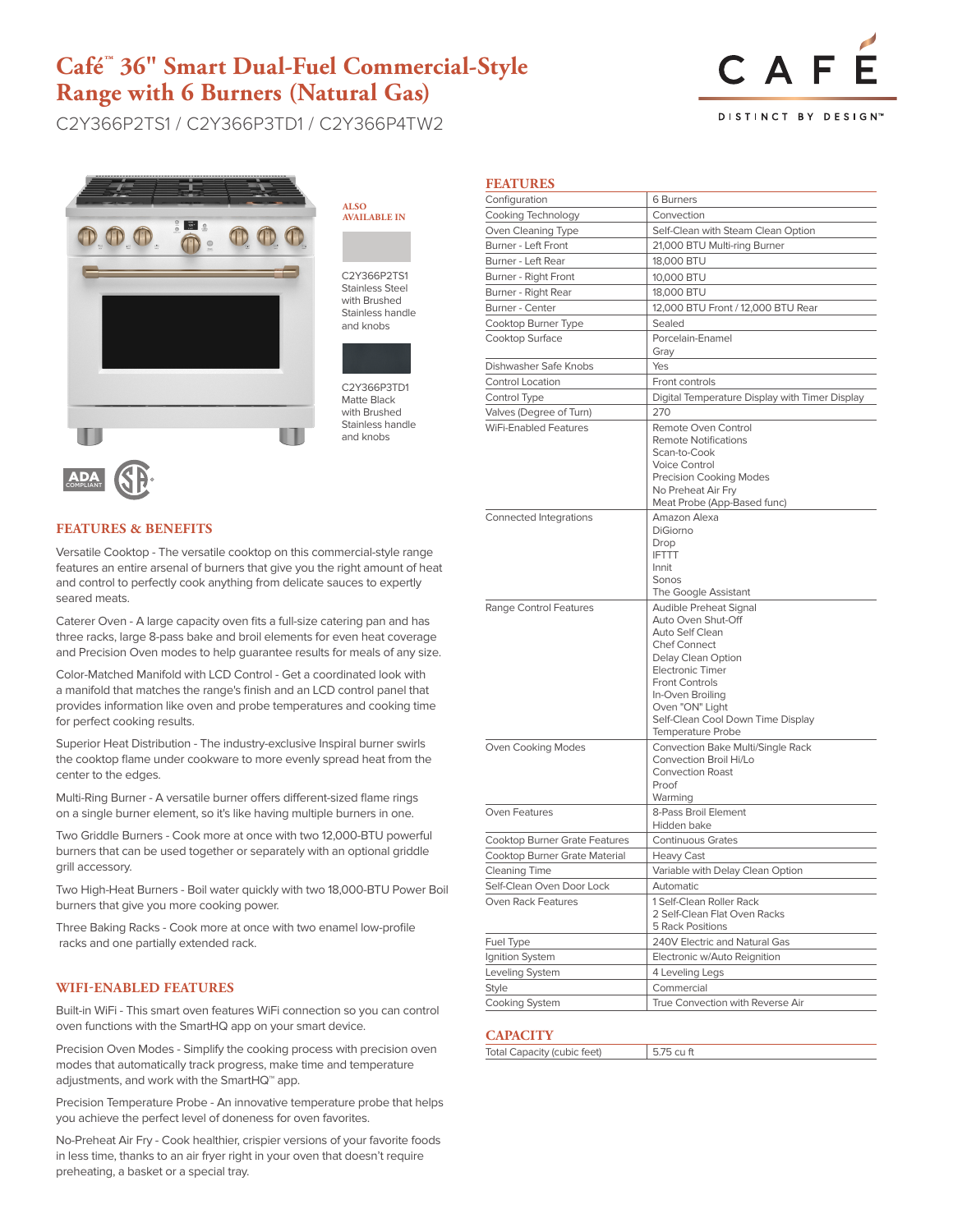## **Café™ 36" Smart Dual-Fuel Commercial-Style Range with 6 Burners (Natural Gas)**

C2Y366P2TS1 / C2Y366P3TD1 / C2Y366P4TW2



DISTINCT BY DESIGN<sup>®</sup>



## **AVAILABLE IN**

C2Y366P2TS1 Stainless Steel with Brushed Stainless handle and knobs

**ALSO** 



C2Y366P3TD1 Matte Black with Brushed Stainless handle and knobs

# ADA COMPLIANT

#### **FEATURES & BENEFITS**

Versatile Cooktop - The versatile cooktop on this commercial-style range features an entire arsenal of burners that give you the right amount of heat and control to perfectly cook anything from delicate sauces to expertly seared meats.

Caterer Oven - A large capacity oven fits a full-size catering pan and has three racks, large 8-pass bake and broil elements for even heat coverage and Precision Oven modes to help guarantee results for meals of any size.

Color-Matched Manifold with LCD Control - Get a coordinated look with a manifold that matches the range's finish and an LCD control panel that provides information like oven and probe temperatures and cooking time for perfect cooking results.

Superior Heat Distribution - The industry-exclusive Inspiral burner swirls the cooktop flame under cookware to more evenly spread heat from the center to the edges.

Multi-Ring Burner - A versatile burner offers different-sized flame rings on a single burner element, so it's like having multiple burners in one.

Two Griddle Burners - Cook more at once with two 12,000-BTU powerful burners that can be used together or separately with an optional griddle grill accessory.

Two High-Heat Burners - Boil water quickly with two 18,000-BTU Power Boil burners that give you more cooking power.

Three Baking Racks - Cook more at once with two enamel low-profile racks and one partially extended rack.

#### **WIFI-ENABLED FEATURES**

Built-in WiFi - This smart oven features WiFi connection so you can control oven functions with the SmartHQ app on your smart device.

Precision Oven Modes - Simplify the cooking process with precision oven modes that automatically track progress, make time and temperature adjustments, and work with the SmartHQ™ app.

Precision Temperature Probe - An innovative temperature probe that helps you achieve the perfect level of doneness for oven favorites.

No-Preheat Air Fry - Cook healthier, crispier versions of your favorite foods in less time, thanks to an air fryer right in your oven that doesn't require preheating, a basket or a special tray.

| <b>FEATURES</b>                      |                                                                                                                                                                                                                                                                   |  |
|--------------------------------------|-------------------------------------------------------------------------------------------------------------------------------------------------------------------------------------------------------------------------------------------------------------------|--|
| Configuration                        | 6 Burners                                                                                                                                                                                                                                                         |  |
| Cooking Technology                   | Convection                                                                                                                                                                                                                                                        |  |
| Oven Cleaning Type                   | Self-Clean with Steam Clean Option                                                                                                                                                                                                                                |  |
| Burner - Left Front                  | 21,000 BTU Multi-ring Burner                                                                                                                                                                                                                                      |  |
| Burner - Left Rear                   | 18,000 BTU                                                                                                                                                                                                                                                        |  |
| Burner - Right Front                 | 10,000 BTU                                                                                                                                                                                                                                                        |  |
| Burner - Right Rear                  | 18,000 BTU                                                                                                                                                                                                                                                        |  |
| Burner - Center                      | 12,000 BTU Front / 12,000 BTU Rear                                                                                                                                                                                                                                |  |
| Cooktop Burner Type                  | Sealed                                                                                                                                                                                                                                                            |  |
| Cooktop Surface                      | Porcelain-Enamel<br>Gray                                                                                                                                                                                                                                          |  |
| Dishwasher Safe Knobs                | Yes                                                                                                                                                                                                                                                               |  |
| Control Location                     | Front controls                                                                                                                                                                                                                                                    |  |
| Control Type                         | Digital Temperature Display with Timer Display                                                                                                                                                                                                                    |  |
| Valves (Degree of Turn)              | 270                                                                                                                                                                                                                                                               |  |
| <b>WiFi-Enabled Features</b>         | Remote Oven Control<br><b>Remote Notifications</b><br>Scan-to-Cook<br>Voice Control<br>Precision Cooking Modes<br>No Preheat Air Fry<br>Meat Probe (App-Based func)                                                                                               |  |
| Connected Integrations               | Amazon Alexa<br>DiGiorno<br>Drop<br><b>IFTTT</b><br>Innit<br>Sonos<br>The Google Assistant                                                                                                                                                                        |  |
| Range Control Features               | Audible Preheat Signal<br>Auto Oven Shut-Off<br>Auto Self Clean<br><b>Chef Connect</b><br>Delay Clean Option<br><b>Electronic Timer</b><br><b>Front Controls</b><br>In-Oven Broiling<br>Oven "ON" Light<br>Self-Clean Cool Down Time Display<br>Temperature Probe |  |
| Oven Cooking Modes                   | Convection Bake Multi/Single Rack<br>Convection Broil Hi/Lo<br><b>Convection Roast</b><br>Proof<br>Warming                                                                                                                                                        |  |
| Oven Features                        | 8-Pass Broil Element<br>Hidden bake                                                                                                                                                                                                                               |  |
| <b>Cooktop Burner Grate Features</b> | <b>Continuous Grates</b>                                                                                                                                                                                                                                          |  |
| Cooktop Burner Grate Material        | <b>Heavy Cast</b>                                                                                                                                                                                                                                                 |  |
| <b>Cleaning Time</b>                 | Variable with Delay Clean Option                                                                                                                                                                                                                                  |  |
| Self-Clean Oven Door Lock            | Automatic                                                                                                                                                                                                                                                         |  |
| Oven Rack Features                   | 1 Self-Clean Roller Rack<br>2 Self-Clean Flat Oven Racks<br>5 Rack Positions                                                                                                                                                                                      |  |
| Fuel Type                            | 240V Electric and Natural Gas                                                                                                                                                                                                                                     |  |
| Ignition System                      | Electronic w/Auto Reignition                                                                                                                                                                                                                                      |  |
| Leveling System                      | 4 Leveling Legs                                                                                                                                                                                                                                                   |  |
| <b>Style</b>                         | Commercial                                                                                                                                                                                                                                                        |  |
| <b>Cooking System</b>                | True Convection with Reverse Air                                                                                                                                                                                                                                  |  |

#### **CAPACITY**

| -----------                        |  |
|------------------------------------|--|
| <b>Total Capacity (cubic feet)</b> |  |
|                                    |  |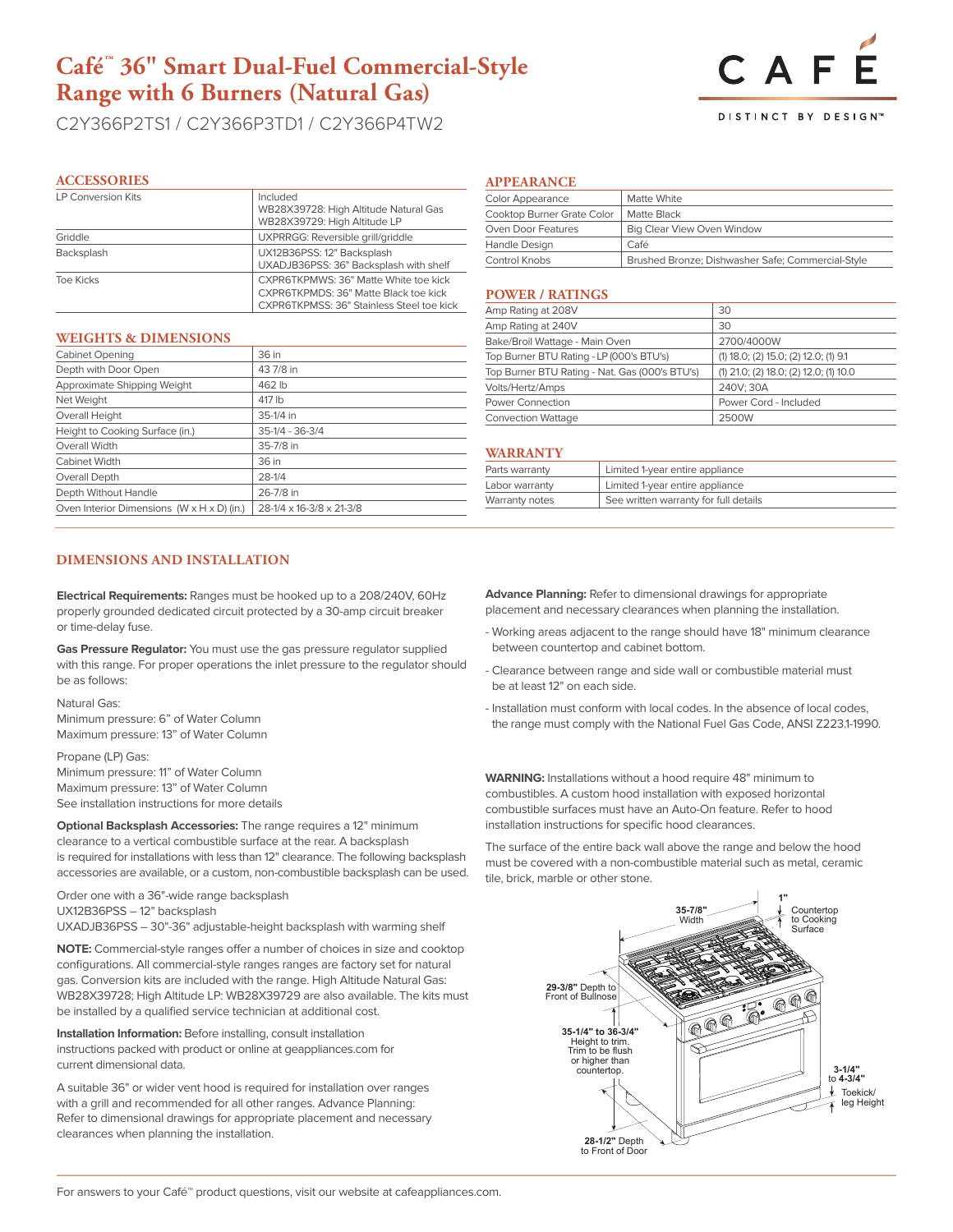## **Café™ 36" Smart Dual-Fuel Commercial-Style Range with 6 Burners (Natural Gas)**

C2Y366P2TS1 / C2Y366P3TD1 / C2Y366P4TW2

#### **ACCESSORIES**

| <b>LP Conversion Kits</b> | Included<br>WB28X39728: High Altitude Natural Gas<br>WB28X39729: High Altitude LP                                           |
|---------------------------|-----------------------------------------------------------------------------------------------------------------------------|
| Griddle                   | UXPRRGG: Reversible grill/griddle                                                                                           |
| Backsplash                | UX12B36PSS: 12" Backsplash<br>UXADJB36PSS: 36" Backsplash with shelf                                                        |
| Toe Kicks                 | CXPR6TKPMWS: 36" Matte White toe kick<br>CXPR6TKPMDS: 36" Matte Black toe kick<br>CXPR6TKPMSS: 36" Stainless Steel toe kick |

#### **WEIGHTS & DIMENSIONS**

| <b>Cabinet Opening</b>                                 | 36 in                    |
|--------------------------------------------------------|--------------------------|
| Depth with Door Open                                   | 43 7/8 in                |
| Approximate Shipping Weight                            | 462 lb                   |
| Net Weight                                             | 417 lb                   |
| Overall Height                                         | 35-1/4 in                |
| Height to Cooking Surface (in.)                        | $35-1/4 - 36-3/4$        |
| Overall Width                                          | 35-7/8 in                |
| Cabinet Width                                          | 36 in                    |
| Overall Depth                                          | $28-1/4$                 |
| Depth Without Handle                                   | 26-7/8 in                |
| Oven Interior Dimensions $(W \times H \times D)$ (in.) | 28-1/4 x 16-3/8 x 21-3/8 |

#### **DIMENSIONS AND INSTALLATION**

**Electrical Requirements:** Ranges must be hooked up to a 208/240V, 60Hz properly grounded dedicated circuit protected by a 30-amp circuit breaker or time-delay fuse.

**Gas Pressure Regulator:** You must use the gas pressure regulator supplied with this range. For proper operations the inlet pressure to the regulator should be as follows:

Natural Gas: Minimum pressure: 6" of Water Column Maximum pressure: 13" of Water Column

Propane (LP) Gas: Minimum pressure: 11" of Water Column Maximum pressure: 13" of Water Column See installation instructions for more details

**Optional Backsplash Accessories:** The range requires a 12" minimum clearance to a vertical combustible surface at the rear. A backsplash is required for installations with less than 12" clearance. The following backsplash accessories are available, or a custom, non-combustible backsplash can be used.

Order one with a 36"-wide range backsplash UX12B36PSS – 12" backsplash UXADJB36PSS – 30"-36" adjustable-height backsplash with warming shelf

**NOTE:** Commercial-style ranges offer a number of choices in size and cooktop configurations. All commercial-style ranges ranges are factory set for natural gas. Conversion kits are included with the range. High Altitude Natural Gas: WB28X39728; High Altitude LP: WB28X39729 are also available. The kits must be installed by a qualified service technician at additional cost.

**Installation Information:** Before installing, consult installation instructions packed with product or online at geappliances.com for current dimensional data.

A suitable 36" or wider vent hood is required for installation over ranges with a grill and recommended for all other ranges. Advance Planning: Refer to dimensional drawings for appropriate placement and necessary clearances when planning the installation.

#### **APPEARANCE**

| <b>Color Appearance</b>    | Matte White                                       |
|----------------------------|---------------------------------------------------|
| Cooktop Burner Grate Color | Matte Black                                       |
| Oven Door Features         | <b>Big Clear View Oven Window</b>                 |
| Handle Design              | Café                                              |
| Control Knobs              | Brushed Bronze; Dishwasher Safe; Commercial-Style |

#### **POWER / RATINGS**

| Amp Rating at 208V                             | 30                                      |
|------------------------------------------------|-----------------------------------------|
| Amp Rating at 240V                             | 30                                      |
| Bake/Broil Wattage - Main Oven                 | 2700/4000W                              |
| Top Burner BTU Rating - LP (000's BTU's)       | $(1)$ 18.0; (2) 15.0; (2) 12.0; (1) 9.1 |
| Top Burner BTU Rating - Nat. Gas (000's BTU's) | (1) 21.0; (2) 18.0; (2) 12.0; (1) 10.0  |
| Volts/Hertz/Amps                               | 240V: 30A                               |
| <b>Power Connection</b>                        | Power Cord - Included                   |
| <b>Convection Wattage</b>                      | 2500W                                   |

#### **WARRANTY**

| Parts warranty | Limited 1-year entire appliance       |
|----------------|---------------------------------------|
| Labor warranty | Limited 1-year entire appliance       |
| Warranty notes | See written warranty for full details |

**Advance Planning:** Refer to dimensional drawings for appropriate placement and necessary clearances when planning the installation.

- Working areas adjacent to the range should have 18" minimum clearance between countertop and cabinet bottom.
- Clearance between range and side wall or combustible material must be at least 12" on each side.
- Installation must conform with local codes. In the absence of local codes, the range must comply with the National Fuel Gas Code, ANSI Z223.1-1990.

**WARNING:** Installations without a hood require 48" minimum to combustibles. A custom hood installation with exposed horizontal combustible surfaces must have an Auto-On feature. Refer to hood installation instructions for specific hood clearances.

The surface of the entire back wall above the range and below the hood must be covered with a non-combustible material such as metal, ceramic tile, brick, marble or other stone.





DISTINCT BY DESIGN<sup>®</sup>